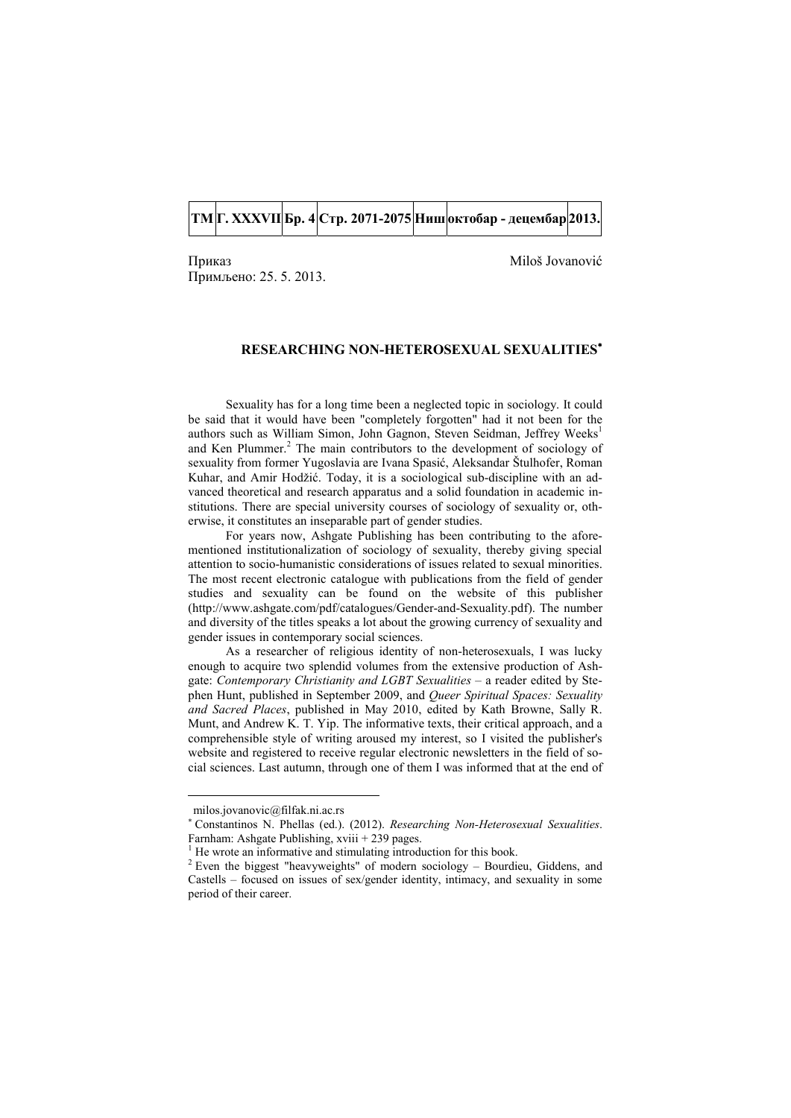## **ТМ Г. XXXVII Бр. 4 Стр. 2071-2075 Ниш октобар - децембар 2013.**

Приказ Мilоš Јоvаnоvić Примљено: 25. 5. 2013.

## **RESEARCHING NON-HETEROSEXUAL SEXUALITIES**

Sexuality has for a long time been a neglected topic in sociology. It could be said that it would have been "completely forgotten" had it not been for the authors such as William Simon, John Gagnon, Steven Seidman, Jeffrey Weeks<sup>1</sup> and Ken Plummer.<sup>2</sup> The main contributors to the development of sociology of sexuality from former Yugoslavia are Ivana Spasić, Aleksandar Štulhofer, Roman Kuhar, and Amir Hodžić. Today, it is a sociological sub-discipline with an advanced theoretical and research apparatus and a solid foundation in academic institutions. There are special university courses of sociology of sexuality or, otherwise, it constitutes an inseparable part of gender studies.

For years now, Ashgate Publishing has been contributing to the aforementioned institutionalization of sociology of sexuality, thereby giving special attention to socio-humanistic considerations of issues related to sexual minorities. The most recent electronic catalogue with publications from the field of gender studies and sexuality can be found on the website of this publisher (http://www.ashgate.com/pdf/catalogues/Gender-and-Sexuality.pdf). The number and diversity of the titles speaks a lot about the growing currency of sexuality and gender issues in contemporary social sciences.

As a researcher of religious identity of non-heterosexuals, I was lucky enough to acquire two splendid volumes from the extensive production of Ashgate: *Contemporary Christianity and LGBT Sexualities* – a reader edited by Stephen Hunt, published in September 2009, and *Queer Spiritual Spaces: Sexuality and Sacred Places*, published in May 2010, edited by Kath Browne, Sally R. Munt, and Andrew K. T. Yip. The informative texts, their critical approach, and a comprehensible style of writing aroused my interest, so I visited the publisher's website and registered to receive regular electronic newsletters in the field of social sciences. Last autumn, through one of them I was informed that at the end of

<u>.</u>

milos.jovanovic@filfak.ni.ac.rs

 Constantinos N. Phellas (ed.). (2012). *Researching Non-Heterosexual Sexualities*. Farnham: Ashgate Publishing, xviii + 239 pages.

<sup>&</sup>lt;sup>1</sup> He wrote an informative and stimulating introduction for this book.

<sup>&</sup>lt;sup>2</sup> Even the biggest "heavyweights" of modern sociology – Bourdieu, Giddens, and Castells – focused on issues of sex/gender identity, intimacy, and sexuality in some period of their career.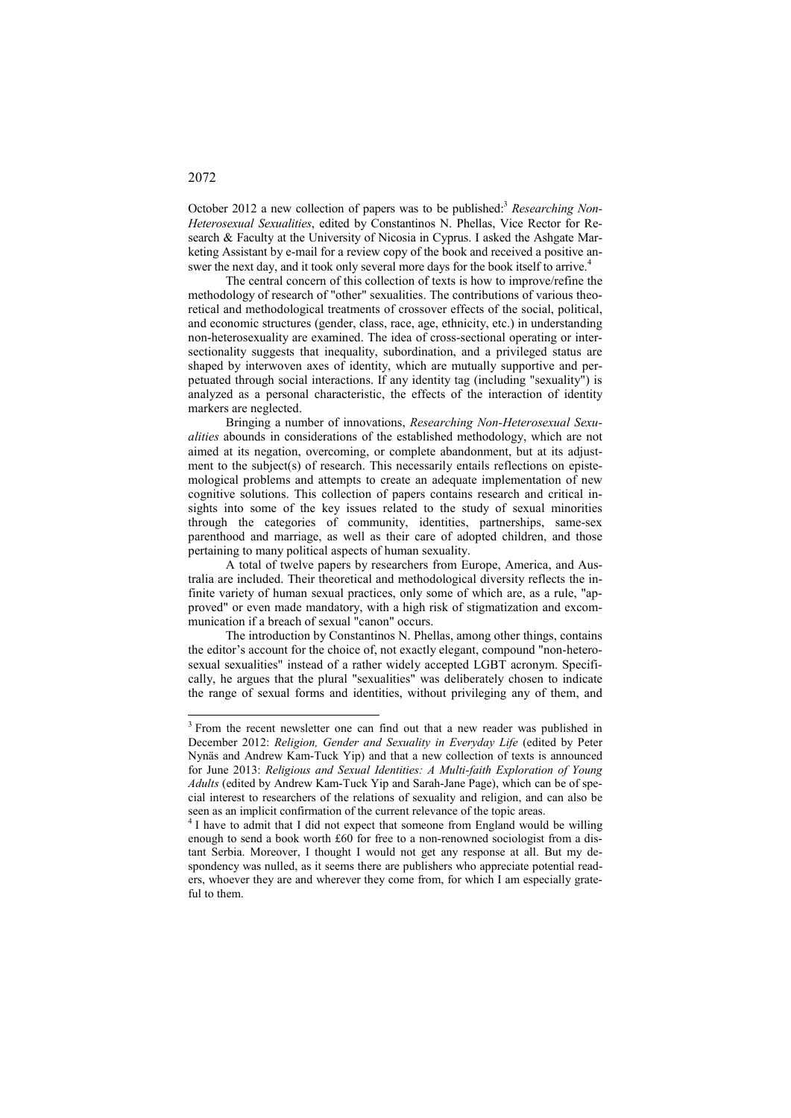October 2012 a new collection of papers was to be published:<sup>3</sup> Researching Non-*Heterosexual Sexualities*, edited by Constantinos N. Phellas, Vice Rector for Research & Faculty at the University of Nicosia in Cyprus. I asked the Ashgate Marketing Assistant by e-mail for a review copy of the book and received a positive answer the next day, and it took only several more days for the book itself to arrive.<sup>4</sup>

The central concern of this collection of texts is how to improve/refine the methodology of research of "other" sexualities. The contributions of various theoretical and methodological treatments of crossover effects of the social, political, and economic structures (gender, class, race, age, ethnicity, etc.) in understanding non-heterosexuality are examined. The idea of cross-sectional operating or intersectionality suggests that inequality, subordination, and a privileged status are shaped by interwoven axes of identity, which are mutually supportive and perpetuated through social interactions. If any identity tag (including "sexuality") is analyzed as a personal characteristic, the effects of the interaction of identity markers are neglected.

Bringing a number of innovations, *Researching Non-Heterosexual Sexualities* abounds in considerations of the established methodology, which are not aimed at its negation, overcoming, or complete abandonment, but at its adjustment to the subject(s) of research. This necessarily entails reflections on epistemological problems and attempts to create an adequate implementation of new cognitive solutions. This collection of papers contains research and critical insights into some of the key issues related to the study of sexual minorities through the categories of community, identities, partnerships, same-sex parenthood and marriage, as well as their care of adopted children, and those pertaining to many political aspects of human sexuality.

A total of twelve papers by researchers from Europe, America, and Australia are included. Their theoretical and methodological diversity reflects the infinite variety of human sexual practices, only some of which are, as a rule, "approved" or even made mandatory, with a high risk of stigmatization and excommunication if a breach of sexual "canon" occurs.

The introduction by Constantinos N. Phellas, among other things, contains the editor's account for the choice of, not exactly elegant, compound "non-heterosexual sexualities" instead of a rather widely accepted LGBT acronym. Specifically, he argues that the plural "sexualities" was deliberately chosen to indicate the range of sexual forms and identities, without privileging any of them, and

## 2072

<u>.</u>

<sup>&</sup>lt;sup>3</sup> From the recent newsletter one can find out that a new reader was published in December 2012: *Religion, Gender and Sexuality in Everyday Life* (edited by Peter Nynäs and Andrew Kam-Tuck Yip) and that a new collection of texts is announced for June 2013: *Religious and Sexual Identities: A Multi-faith Exploration of Young Adults* (edited by Andrew Kam-Tuck Yip and Sarah-Jane Page), which can be of special interest to researchers of the relations of sexuality and religion, and can also be seen as an implicit confirmation of the current relevance of the topic areas.

<sup>&</sup>lt;sup>4</sup> I have to admit that I did not expect that someone from England would be willing enough to send a book worth £60 for free to a non-renowned sociologist from a distant Serbia. Moreover, I thought I would not get any response at all. But my despondency was nulled, as it seems there are publishers who appreciate potential readers, whoever they are and wherever they come from, for which I am especially grateful to them.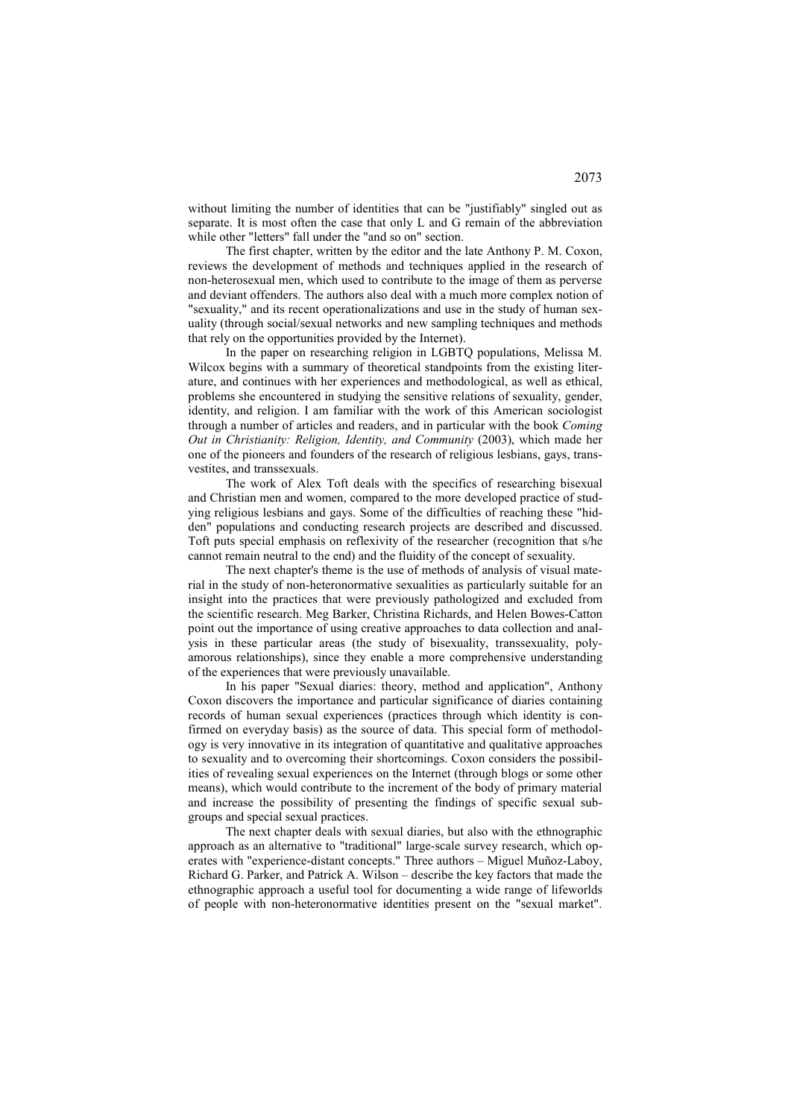without limiting the number of identities that can be "justifiably" singled out as separate. It is most often the case that only L and G remain of the abbreviation while other "letters" fall under the "and so on" section.

The first chapter, written by the editor and the late Anthony P. M. Coxon, reviews the development of methods and techniques applied in the research of non-heterosexual men, which used to contribute to the image of them as perverse and deviant offenders. The authors also deal with a much more complex notion of "sexuality," and its recent operationalizations and use in the study of human sexuality (through social/sexual networks and new sampling techniques and methods that rely on the opportunities provided by the Internet).

In the paper on researching religion in LGBTQ populations, Melissa M. Wilcox begins with a summary of theoretical standpoints from the existing literature, and continues with her experiences and methodological, as well as ethical, problems she encountered in studying the sensitive relations of sexuality, gender, identity, and religion. I am familiar with the work of this American sociologist through a number of articles and readers, and in particular with the book *Coming Out in Christianity: Religion, Identity, and Community* (2003), which made her one of the pioneers and founders of the research of religious lesbians, gays, transvestites, and transsexuals.

The work of Alex Toft deals with the specifics of researching bisexual and Christian men and women, compared to the more developed practice of studying religious lesbians and gays. Some of the difficulties of reaching these "hidden" populations and conducting research projects are described and discussed. Toft puts special emphasis on reflexivity of the researcher (recognition that s/he cannot remain neutral to the end) and the fluidity of the concept of sexuality.

The next chapter's theme is the use of methods of analysis of visual material in the study of non-heteronormative sexualities as particularly suitable for an insight into the practices that were previously pathologized and excluded from the scientific research. Meg Barker, Christina Richards, and Helen Bowes-Catton point out the importance of using creative approaches to data collection and analysis in these particular areas (the study of bisexuality, transsexuality, polyamorous relationships), since they enable a more comprehensive understanding of the experiences that were previously unavailable.

In his paper "Sexual diaries: theory, method and application", Anthony Coxon discovers the importance and particular significance of diaries containing records of human sexual experiences (practices through which identity is confirmed on everyday basis) as the source of data. This special form of methodology is very innovative in its integration of quantitative and qualitative approaches to sexuality and to overcoming their shortcomings. Coxon considers the possibilities of revealing sexual experiences on the Internet (through blogs or some other means), which would contribute to the increment of the body of primary material and increase the possibility of presenting the findings of specific sexual subgroups and special sexual practices.

The next chapter deals with sexual diaries, but also with the ethnographic approach as an alternative to "traditional" large-scale survey research, which operates with "experience-distant concepts." Three authors – Miguel Muñoz-Laboy, Richard G. Parker, and Patrick A. Wilson – describe the key factors that made the ethnographic approach a useful tool for documenting a wide range of lifeworlds of people with non-heteronormative identities present on the "sexual market".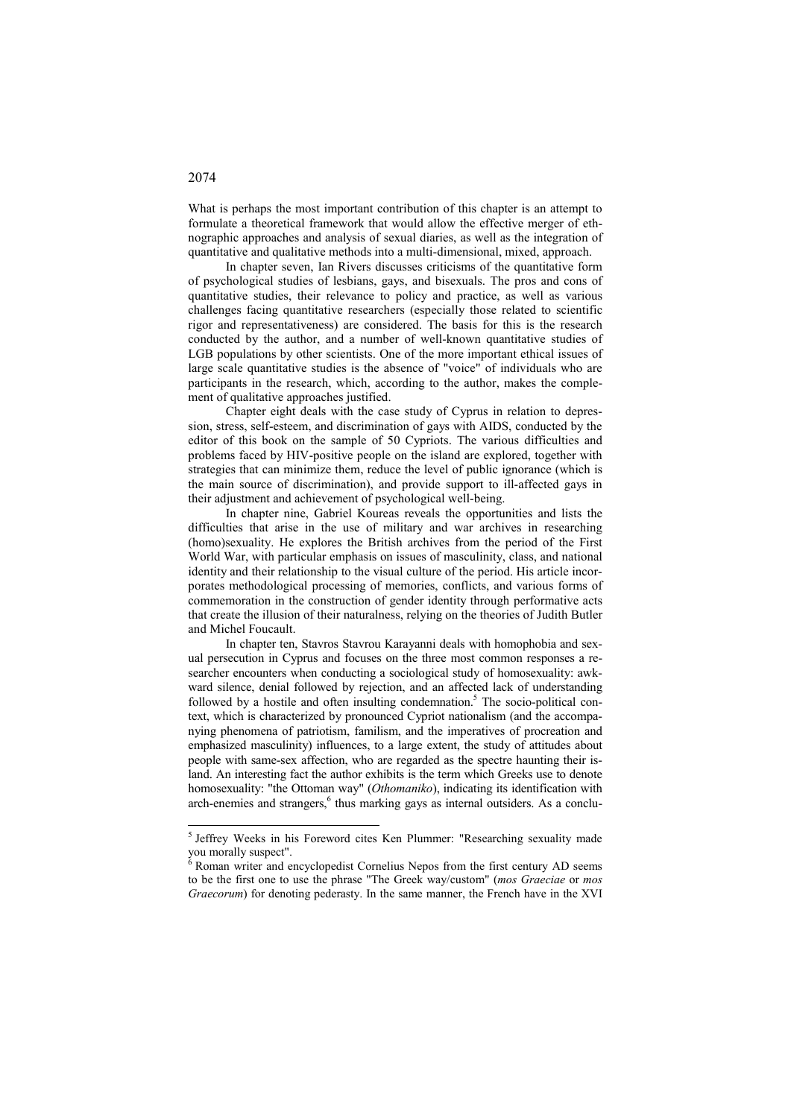What is perhaps the most important contribution of this chapter is an attempt to formulate a theoretical framework that would allow the effective merger of ethnographic approaches and analysis of sexual diaries, as well as the integration of quantitative and qualitative methods into a multi-dimensional, mixed, approach.

In chapter seven, Ian Rivers discusses criticisms of the quantitative form of psychological studies of lesbians, gays, and bisexuals. The pros and cons of quantitative studies, their relevance to policy and practice, as well as various challenges facing quantitative researchers (especially those related to scientific rigor and representativeness) are considered. The basis for this is the research conducted by the author, and a number of well-known quantitative studies of LGB populations by other scientists. One of the more important ethical issues of large scale quantitative studies is the absence of "voice" of individuals who are participants in the research, which, according to the author, makes the complement of qualitative approaches justified.

Chapter eight deals with the case study of Cyprus in relation to depression, stress, self-esteem, and discrimination of gays with AIDS, conducted by the editor of this book on the sample of 50 Cypriots. The various difficulties and problems faced by HIV-positive people on the island are explored, together with strategies that can minimize them, reduce the level of public ignorance (which is the main source of discrimination), and provide support to ill-affected gays in their adjustment and achievement of psychological well-being.

In chapter nine, Gabriel Koureas reveals the opportunities and lists the difficulties that arise in the use of military and war archives in researching (homo)sexuality. He explores the British archives from the period of the First World War, with particular emphasis on issues of masculinity, class, and national identity and their relationship to the visual culture of the period. His article incorporates methodological processing of memories, conflicts, and various forms of commemoration in the construction of gender identity through performative acts that create the illusion of their naturalness, relying on the theories of Judith Butler and Michel Foucault.

In chapter ten, Stavros Stavrou Karayanni deals with homophobia and sexual persecution in Cyprus and focuses on the three most common responses a researcher encounters when conducting a sociological study of homosexuality: awkward silence, denial followed by rejection, and an affected lack of understanding followed by a hostile and often insulting condemnation.<sup>5</sup> The socio-political context, which is characterized by pronounced Cypriot nationalism (and the accompanying phenomena of patriotism, familism, and the imperatives of procreation and emphasized masculinity) influences, to a large extent, the study of attitudes about people with same-sex affection, who are regarded as the spectre haunting their island. An interesting fact the author exhibits is the term which Greeks use to denote homosexuality: "the Ottoman way" (*Othomaniko*), indicating its identification with arch-enemies and strangers,<sup>6</sup> thus marking gays as internal outsiders. As a conclu-

## 2074

-

<sup>&</sup>lt;sup>5</sup> Jeffrey Weeks in his Foreword cites Ken Plummer: "Researching sexuality made you morally suspect".

 $6$  Roman writer and encyclopedist Cornelius Nepos from the first century AD seems to be the first one to use the phrase "The Greek way/custom" (*mos Graeciae* or *mos Graecorum*) for denoting pederasty. In the same manner, the French have in the XVI